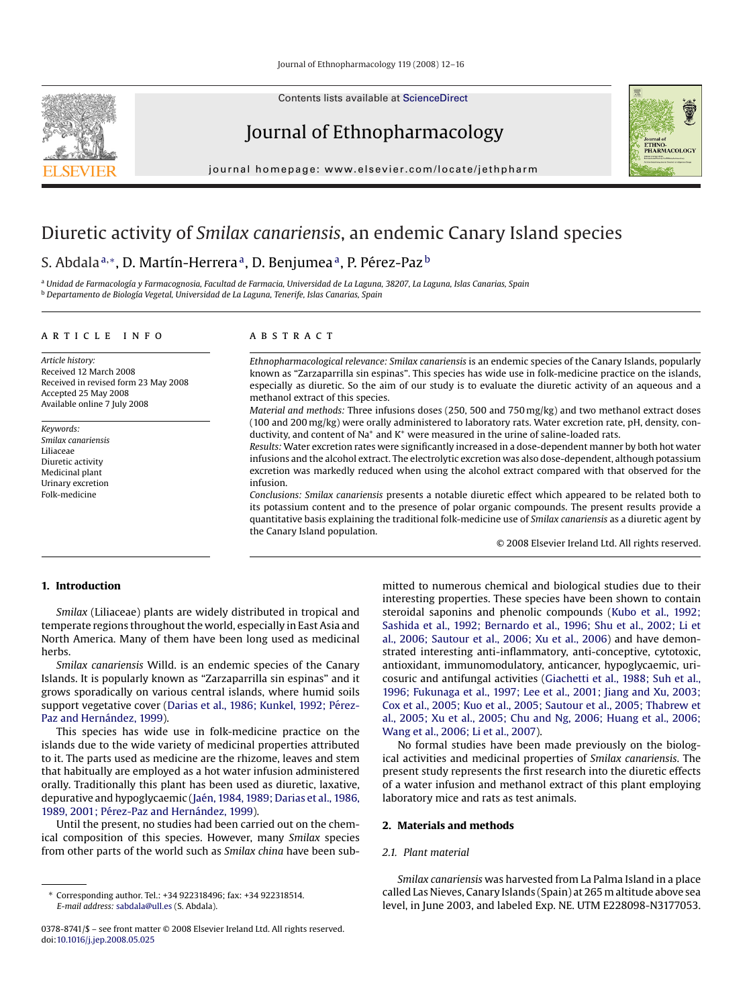Contents lists available at [ScienceDirect](http://www.sciencedirect.com/science/journal/03788741)

# Journal of Ethnopharmacology

journal homepage: www.elsevier.com/locate/jethpharm

# Diuretic activity of *Smilax canariensis*, an endemic Canary Island species

# S. Abdala<sup>a,∗</sup>, D. Martín-Herrera<sup>a</sup>, D. Benjumea<sup>a</sup>, P. Pérez-Paz<sup>b</sup>

<sup>a</sup> Unidad de Farmacología y Farmacognosia, Facultad de Farmacia, Universidad de La Laguna, 38207, La Laguna, Islas Canarias, Spain <sup>b</sup> *Departamento de Biolog´ıa Vegetal, Universidad de La Laguna, Tenerife, Islas Canarias, Spain*

# article info

*Article history:* Received 12 March 2008 Received in revised form 23 May 2008 Accepted 25 May 2008 Available online 7 July 2008

*Keywords: Smilax canariensis* Liliaceae Diuretic activity Medicinal plant Urinary excretion Folk-medicine

# A B S T R A C T

*Ethnopharmacological relevance: Smilax canariensis* is an endemic species of the Canary Islands, popularly known as "Zarzaparrilla sin espinas". This species has wide use in folk-medicine practice on the islands, especially as diuretic. So the aim of our study is to evaluate the diuretic activity of an aqueous and a methanol extract of this species.

*Material and methods:* Three infusions doses (250, 500 and 750 mg/kg) and two methanol extract doses (100 and 200 mg/kg) were orally administered to laboratory rats. Water excretion rate, pH, density, conductivity, and content of Na<sup>+</sup> and K<sup>+</sup> were measured in the urine of saline-loaded rats.

*Results:* Water excretion rates were significantly increased in a dose-dependent manner by both hot water infusions and the alcohol extract. The electrolytic excretion was also dose-dependent, although potassium excretion was markedly reduced when using the alcohol extract compared with that observed for the infusion.

*Conclusions: Smilax canariensis* presents a notable diuretic effect which appeared to be related both to its potassium content and to the presence of polar organic compounds. The present results provide a quantitative basis explaining the traditional folk-medicine use of *Smilax canariensis* as a diuretic agent by the Canary Island population.

© 2008 Elsevier Ireland Ltd. All rights reserved.

**SEPT** 

ETHNO-<br>PHARMACOLOGY

# **1. Introduction**

*Smilax* (Liliaceae) plants are widely distributed in tropical and temperate regions throughout the world, especially in East Asia and North America. Many of them have been long used as medicinal herbs.

*Smilax canariensis* Willd. is an endemic species of the Canary Islands. It is popularly known as "Zarzaparrilla sin espinas" and it grows sporadically on various central islands, where humid soils support vegetative cover (Darias et al., 1986; Kunkel, 1992; Pérez-Paz and Hernández, 1999).

This species has wide use in folk-medicine practice on the islands due to the wide variety of medicinal properties attributed to it. The parts used as medicine are the rhizome, leaves and stem that habitually are employed as a hot water infusion administered orally. Traditionally this plant has been used as diuretic, laxative, depurative and hypoglycaemic (Jaén, 1984, 1989; Darias et al., 1986, 1989, 2001; Pérez-Paz and Hernández, 1999).

Until the present, no studies had been carried out on the chemical composition of this species. However, many *Smilax* species from other parts of the world such as *Smilax china* have been sub-

mitted to numerous chemical and biological studies due to their interesting properties. These species have been shown to contain steroidal saponins and phenolic compounds [\(Kubo et al., 1992;](#page-3-0) [Sashida et al., 1992; Bernardo et al., 1996; Shu et al., 2002; Li et](#page-3-0) [al., 2006; Sautour et al., 2006; Xu et al., 2006\)](#page-3-0) and have demonstrated interesting anti-inflammatory, anti-conceptive, cytotoxic, antioxidant, immunomodulatory, anticancer, hypoglycaemic, uricosuric and antifungal activities [\(Giachetti et al., 1988; Suh et al.,](#page-3-0) [1996; Fukunaga et al., 1997; Lee et al., 2001; Jiang and Xu, 2003;](#page-3-0) [Cox et al., 2005; Kuo et al., 2005; Sautour et al., 2005; Thabrew et](#page-3-0) [al., 2005; Xu et al., 2005; Chu and Ng, 2006; Huang et al., 2006;](#page-3-0) [Wang et al., 2006; Li et al., 2007\).](#page-3-0)

No formal studies have been made previously on the biological activities and medicinal properties of *Smilax canariensis*. The present study represents the first research into the diuretic effects of a water infusion and methanol extract of this plant employing laboratory mice and rats as test animals.

# **2. Materials and methods**

#### *2.1. Plant material*

*Smilax canariensis* was harvested from La Palma Island in a place called Las Nieves, Canary Islands (Spain) at 265 m altitude above sea level, in June 2003, and labeled Exp. NE. UTM E228098-N3177053.



<sup>∗</sup> Corresponding author. Tel.: +34 922318496; fax: +34 922318514. *E-mail address:* [sabdala@ull.es](mailto:sabdala@ull.es) (S. Abdala).

<sup>0378-8741/\$ –</sup> see front matter © 2008 Elsevier Ireland Ltd. All rights reserved. doi:[10.1016/j.jep.2008.05.025](dx.doi.org/10.1016/j.jep.2008.05.025)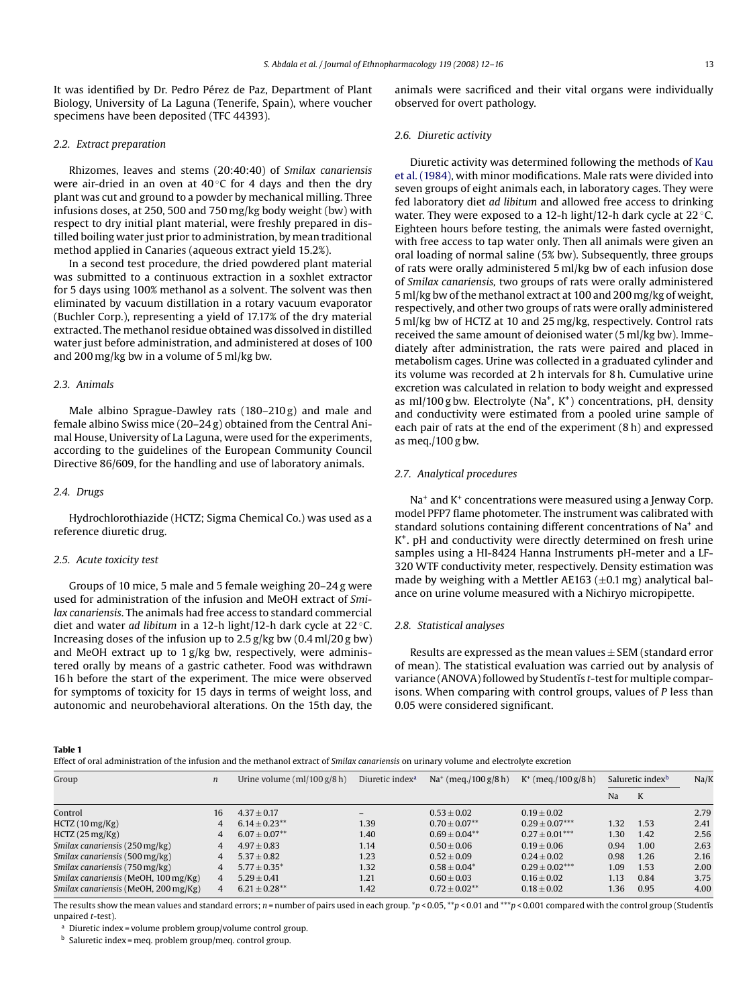<span id="page-1-0"></span>It was identified by Dr. Pedro Pérez de Paz, Department of Plant Biology, University of La Laguna (Tenerife, Spain), where voucher specimens have been deposited (TFC 44393).

### *2.2. Extract preparation*

Rhizomes, leaves and stems (20:40:40) of *Smilax canariensis* were air-dried in an oven at 40 $\degree$ C for 4 days and then the dry plant was cut and ground to a powder by mechanical milling. Three infusions doses, at 250, 500 and 750 mg/kg body weight (bw) with respect to dry initial plant material, were freshly prepared in distilled boiling water just prior to administration, by mean traditional method applied in Canaries (aqueous extract yield 15.2%).

In a second test procedure, the dried powdered plant material was submitted to a continuous extraction in a soxhlet extractor for 5 days using 100% methanol as a solvent. The solvent was then eliminated by vacuum distillation in a rotary vacuum evaporator (Buchler Corp.), representing a yield of 17.17% of the dry material extracted. The methanol residue obtained was dissolved in distilled water just before administration, and administered at doses of 100 and 200 mg/kg bw in a volume of 5 ml/kg bw.

#### *2.3. Animals*

Male albino Sprague-Dawley rats (180–210 g) and male and female albino Swiss mice (20–24 g) obtained from the Central Animal House, University of La Laguna, were used for the experiments, according to the guidelines of the European Community Council Directive 86/609, for the handling and use of laboratory animals.

#### *2.4. Drugs*

Hydrochlorothiazide (HCTZ; Sigma Chemical Co.) was used as a reference diuretic drug.

#### *2.5. Acute toxicity test*

Groups of 10 mice, 5 male and 5 female weighing 20–24 g were used for administration of the infusion and MeOH extract of *Smilax canariensis*. The animals had free access to standard commercial diet and water *ad libitum* in a 12-h light/12-h dark cycle at 22 ◦C. Increasing doses of the infusion up to 2.5 g/kg bw (0.4 ml/20 g bw) and MeOH extract up to 1 g/kg bw, respectively, were administered orally by means of a gastric catheter. Food was withdrawn 16 h before the start of the experiment. The mice were observed for symptoms of toxicity for 15 days in terms of weight loss, and autonomic and neurobehavioral alterations. On the 15th day, the animals were sacrificed and their vital organs were individually observed for overt pathology.

# *2.6. Diuretic activity*

Diuretic activity was determined following the methods of [Kau](#page-3-0) [et al. \(1984\), w](#page-3-0)ith minor modifications. Male rats were divided into seven groups of eight animals each, in laboratory cages. They were fed laboratory diet *ad libitum* and allowed free access to drinking water. They were exposed to a 12-h light/12-h dark cycle at  $22^{\circ}$ C. Eighteen hours before testing, the animals were fasted overnight, with free access to tap water only. Then all animals were given an oral loading of normal saline (5% bw). Subsequently, three groups of rats were orally administered 5 ml/kg bw of each infusion dose of *Smilax canariensis,* two groups of rats were orally administered 5 ml/kg bw of the methanol extract at 100 and 200 mg/kg of weight, respectively, and other two groups of rats were orally administered 5 ml/kg bw of HCTZ at 10 and 25 mg/kg, respectively. Control rats received the same amount of deionised water (5 ml/kg bw). Immediately after administration, the rats were paired and placed in metabolism cages. Urine was collected in a graduated cylinder and its volume was recorded at 2 h intervals for 8 h. Cumulative urine excretion was calculated in relation to body weight and expressed as ml/100 g bw. Electrolyte (Na<sup>+</sup>, K<sup>+</sup>) concentrations, pH, density and conductivity were estimated from a pooled urine sample of each pair of rats at the end of the experiment (8 h) and expressed as meq./100 g bw.

## *2.7. Analytical procedures*

 $Na<sup>+</sup>$  and  $K<sup>+</sup>$  concentrations were measured using a Jenway Corp. model PFP7 flame photometer. The instrument was calibrated with standard solutions containing different concentrations of Na<sup>+</sup> and K+. pH and conductivity were directly determined on fresh urine samples using a HI-8424 Hanna Instruments pH-meter and a LF-320 WTF conductivity meter, respectively. Density estimation was made by weighing with a Mettler AE163 ( $\pm$ 0.1 mg) analytical balance on urine volume measured with a Nichiryo micropipette.

### *2.8. Statistical analyses*

Results are expressed as the mean values  $\pm$  SEM (standard error of mean). The statistical evaluation was carried out by analysis of variance (ANOVA) followed by Studentis *t*-test for multiple comparisons. When comparing with control groups, values of *P* less than 0.05 were considered significant.

**Table 1**

Effect of oral administration of the infusion and the methanol extract of *Smilax canariensis* on urinary volume and electrolyte excretion

| Group                                | $\mathfrak n$ | Urine volume $(ml/100g/8h)$ | Diuretic index <sup>a</sup> | $Na^+$ (meg./100 g/8 h) | $K^+$ (meg./100 g/8 h) |      | Saluretic index <sup>b</sup> | Na/K |
|--------------------------------------|---------------|-----------------------------|-----------------------------|-------------------------|------------------------|------|------------------------------|------|
|                                      |               |                             |                             |                         |                        | Na   | K                            |      |
| Control                              | 16            | $4.37 \pm 0.17$             |                             | $0.53 + 0.02$           | $0.19 + 0.02$          |      |                              | 2.79 |
| HCTZ(10 mg/Kg)                       | 4             | $6.14 \pm 0.23$ **          | 1.39                        | $0.70 \pm 0.07***$      | $0.29 \pm 0.07***$     | 1.32 | 1.53                         | 2.41 |
| HCTZ (25 mg/Kg)                      | 4             | $6.07 + 0.07**$             | 1.40                        | $0.69 + 0.04**$         | $0.27 + 0.01***$       | 1.30 | 1.42                         | 2.56 |
| Smilax canariensis (250 mg/kg)       | 4             | $4.97 + 0.83$               | 1.14                        | $0.50 + 0.06$           | $0.19 + 0.06$          | 0.94 | 1.00                         | 2.63 |
| Smilax canariensis (500 mg/kg)       | 4             | $5.37 + 0.82$               | 1.23                        | $0.52 + 0.09$           | $0.24 + 0.02$          | 0.98 | 1.26                         | 2.16 |
| Smilax canariensis (750 mg/kg)       | 4             | $5.77 + 0.35^*$             | 1.32                        | $0.58 + 0.04*$          | $0.29 + 0.02***$       | 1.09 | 1.53                         | 2.00 |
| Smilax canariensis (MeOH, 100 mg/Kg) | 4             | $5.29 + 0.41$               | 1.21                        | $0.60 + 0.03$           | $0.16 + 0.02$          | 1.13 | 0.84                         | 3.75 |
| Smilax canariensis (MeOH, 200 mg/Kg) | 4             | $6.21 \pm 0.28***$          | 1.42                        | $0.72 \pm 0.02$ **      | $0.18 \pm 0.02$        | 1.36 | 0.95                         | 4.00 |

The results show the mean values and standard errors; *n* = number of pairs used in each group. \**p* < 0.05, \*\**p* < 0.01 and \*\*\**p* < 0.001 compared with the control group (Studentǐs unpaired *t*-test).

<sup>a</sup> Diuretic index = volume problem group/volume control group.

<sup>b</sup> Saluretic index = meq. problem group/meq. control group.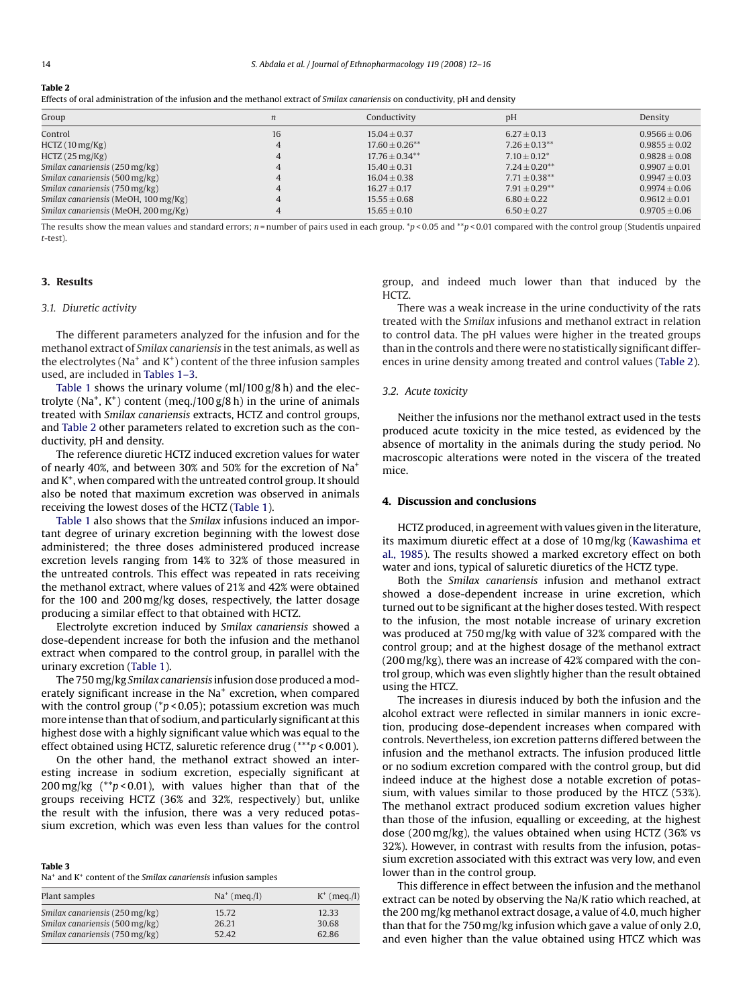#### <span id="page-2-0"></span>**Table 2**

| Effects of oral administration of the infusion and the methanol extract of Smilax canariensis on conductivity, pH and density |
|-------------------------------------------------------------------------------------------------------------------------------|
|-------------------------------------------------------------------------------------------------------------------------------|

| Group                                | $\boldsymbol{n}$ | Conductivity        | pΗ                 | Density         |
|--------------------------------------|------------------|---------------------|--------------------|-----------------|
| Control                              | 16               | $15.04 + 0.37$      | $6.27 + 0.13$      | $0.9566 + 0.06$ |
| HCTZ(10mg/Kg)                        |                  | $17.60 \pm 0.26$ ** | $7.26 + 0.13***$   | $0.9855 + 0.02$ |
| HCTZ (25 mg/Kg)                      |                  | $17.76 \pm 0.34***$ | $7.10 \pm 0.12^*$  | $0.9828 + 0.08$ |
| Smilax canariensis (250 mg/kg)       |                  | $15.40 + 0.31$      | $7.24 + 0.20^{**}$ | $0.9907 + 0.01$ |
| Smilax canariensis (500 mg/kg)       |                  | $16.04 \pm 0.38$    | $7.71 \pm 0.38***$ | $0.9947 + 0.03$ |
| Smilax canariensis (750 mg/kg)       |                  | $16.27 \pm 0.17$    | $7.91 + 0.29**$    | $0.9974 + 0.06$ |
| Smilax canariensis (MeOH, 100 mg/Kg) |                  | $15.55 \pm 0.68$    | $6.80 + 0.22$      | $0.9612 + 0.01$ |
| Smilax canariensis (MeOH, 200 mg/Kg) |                  | $15.65 \pm 0.10$    | $6.50 + 0.27$      | $0.9705 + 0.06$ |

The results show the mean values and standard errors; *n* = number of pairs used in each group. \**p* < 0.05 and \*\**p* < 0.01 compared with the control group (Studentǐs unpaired *t*-test).

### **3. Results**

#### *3.1. Diuretic activity*

The different parameters analyzed for the infusion and for the methanol extract of *Smilax canariensis* in the test animals, as well as the electrolytes ( $Na^+$  and  $K^+$ ) content of the three infusion samples used, are included in [Tables 1–3.](#page-1-0)

[Table 1](#page-1-0) shows the urinary volume ( $ml/100 g/8 h$ ) and the electrolyte (Na<sup>+</sup>, K<sup>+</sup>) content (meq./100 g/8 h) in the urine of animals treated with *Smilax canariensis* extracts, HCTZ and control groups, and Table 2 other parameters related to excretion such as the conductivity, pH and density.

The reference diuretic HCTZ induced excretion values for water of nearly 40%, and between 30% and 50% for the excretion of Na+ and  $K^+$ , when compared with the untreated control group. It should also be noted that maximum excretion was observed in animals receiving the lowest doses of the HCTZ [\(Table 1\).](#page-1-0)

[Table 1](#page-1-0) also shows that the *Smilax* infusions induced an important degree of urinary excretion beginning with the lowest dose administered; the three doses administered produced increase excretion levels ranging from 14% to 32% of those measured in the untreated controls. This effect was repeated in rats receiving the methanol extract, where values of 21% and 42% were obtained for the 100 and 200 mg/kg doses, respectively, the latter dosage producing a similar effect to that obtained with HCTZ.

Electrolyte excretion induced by *Smilax canariensis* showed a dose-dependent increase for both the infusion and the methanol extract when compared to the control group, in parallel with the urinary excretion [\(Table 1\).](#page-1-0)

The 750 mg/kg *Smilax canariensis* infusion dose produced amoderately significant increase in the Na<sup>+</sup> excretion, when compared with the control group (\**p* < 0.05); potassium excretion was much more intense than that of sodium, and particularly significant at this highest dose with a highly significant value which was equal to the effect obtained using HCTZ, saluretic reference drug (\*\*\**p* < 0.001).

On the other hand, the methanol extract showed an interesting increase in sodium excretion, especially significant at 200 mg/kg (\*\**p* < 0.01), with values higher than that of the groups receiving HCTZ (36% and 32%, respectively) but, unlike the result with the infusion, there was a very reduced potassium excretion, which was even less than values for the control

| Table 3 |                                                                                              |
|---------|----------------------------------------------------------------------------------------------|
|         | Na <sup>+</sup> and K <sup>+</sup> content of the <i>Smilax canariensis</i> infusion samples |

| Plant samples                                                                                      | $Na^+$ (meg./l)         | $K^+$ (meq./l)          |
|----------------------------------------------------------------------------------------------------|-------------------------|-------------------------|
| Smilax canariensis (250 mg/kg)<br>Smilax canariensis (500 mg/kg)<br>Smilax canariensis (750 mg/kg) | 15.72<br>26.21<br>52.42 | 12.33<br>30.68<br>62.86 |
|                                                                                                    |                         |                         |

group, and indeed much lower than that induced by the HCTZ.

There was a weak increase in the urine conductivity of the rats treated with the *Smilax* infusions and methanol extract in relation to control data. The pH values were higher in the treated groups than in the controls and there were no statistically significant differences in urine density among treated and control values (Table 2).

#### *3.2. Acute toxicity*

Neither the infusions nor the methanol extract used in the tests produced acute toxicity in the mice tested, as evidenced by the absence of mortality in the animals during the study period. No macroscopic alterations were noted in the viscera of the treated mice.

#### **4. Discussion and conclusions**

HCTZ produced, in agreement with values given in the literature, its maximum diuretic effect at a dose of 10 mg/kg ([Kawashima et](#page-3-0) [al., 1985\).](#page-3-0) The results showed a marked excretory effect on both water and ions, typical of saluretic diuretics of the HCTZ type.

Both the *Smilax canariensis* infusion and methanol extract showed a dose-dependent increase in urine excretion, which turned out to be significant at the higher doses tested. With respect to the infusion, the most notable increase of urinary excretion was produced at 750 mg/kg with value of 32% compared with the control group; and at the highest dosage of the methanol extract (200 mg/kg), there was an increase of 42% compared with the control group, which was even slightly higher than the result obtained using the HTCZ.

The increases in diuresis induced by both the infusion and the alcohol extract were reflected in similar manners in ionic excretion, producing dose-dependent increases when compared with controls. Nevertheless, ion excretion patterns differed between the infusion and the methanol extracts. The infusion produced little or no sodium excretion compared with the control group, but did indeed induce at the highest dose a notable excretion of potassium, with values similar to those produced by the HTCZ (53%). The methanol extract produced sodium excretion values higher than those of the infusion, equalling or exceeding, at the highest dose (200 mg/kg), the values obtained when using HCTZ (36% vs 32%). However, in contrast with results from the infusion, potassium excretion associated with this extract was very low, and even lower than in the control group.

This difference in effect between the infusion and the methanol extract can be noted by observing the Na/K ratio which reached, at the 200 mg/kg methanol extract dosage, a value of 4.0, much higher than that for the 750 mg/kg infusion which gave a value of only 2.0, and even higher than the value obtained using HTCZ which was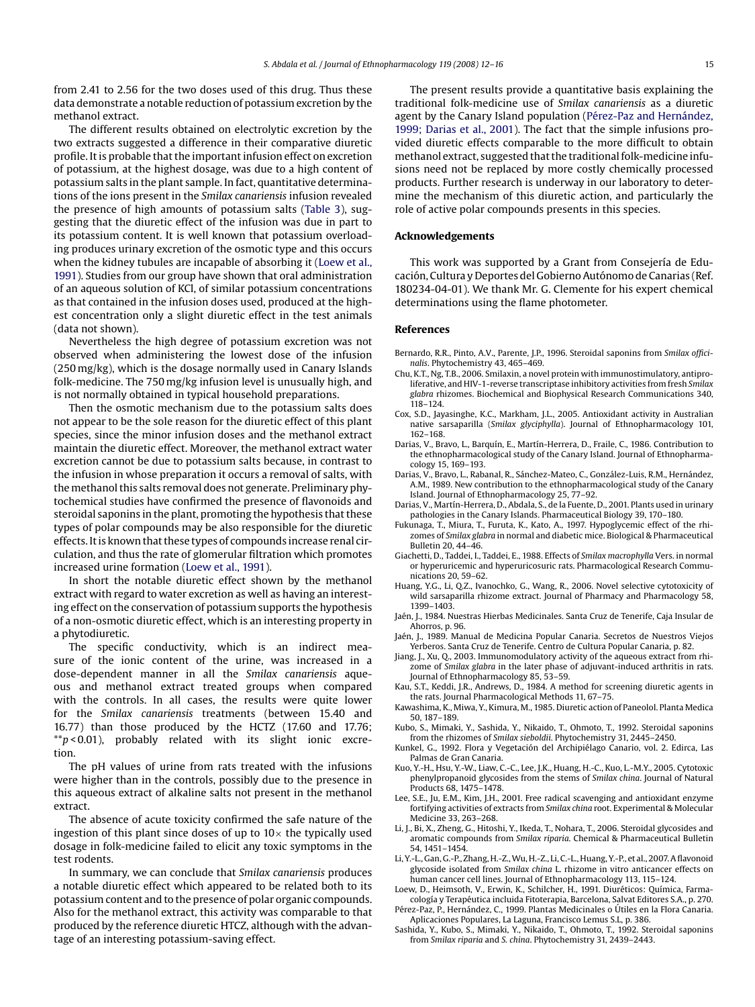<span id="page-3-0"></span>from 2.41 to 2.56 for the two doses used of this drug. Thus these data demonstrate a notable reduction of potassium excretion by the methanol extract.

The different results obtained on electrolytic excretion by the two extracts suggested a difference in their comparative diuretic profile. It is probable that the important infusion effect on excretion of potassium, at the highest dosage, was due to a high content of potassium salts in the plant sample. In fact, quantitative determinations of the ions present in the *Smilax canariensis* infusion revealed the presence of high amounts of potassium salts [\(Table 3\),](#page-2-0) suggesting that the diuretic effect of the infusion was due in part to its potassium content. It is well known that potassium overloading produces urinary excretion of the osmotic type and this occurs when the kidney tubules are incapable of absorbing it (Loew et al., 1991). Studies from our group have shown that oral administration of an aqueous solution of KCl, of similar potassium concentrations as that contained in the infusion doses used, produced at the highest concentration only a slight diuretic effect in the test animals (data not shown).

Nevertheless the high degree of potassium excretion was not observed when administering the lowest dose of the infusion (250 mg/kg), which is the dosage normally used in Canary Islands folk-medicine. The 750 mg/kg infusion level is unusually high, and is not normally obtained in typical household preparations.

Then the osmotic mechanism due to the potassium salts does not appear to be the sole reason for the diuretic effect of this plant species, since the minor infusion doses and the methanol extract maintain the diuretic effect. Moreover, the methanol extract water excretion cannot be due to potassium salts because, in contrast to the infusion in whose preparation it occurs a removal of salts, with the methanol this salts removal does not generate. Preliminary phytochemical studies have confirmed the presence of flavonoids and steroidal saponins in the plant, promoting the hypothesis that these types of polar compounds may be also responsible for the diuretic effects. It is known that these types of compounds increase renal circulation, and thus the rate of glomerular filtration which promotes increased urine formation (Loew et al., 1991).

In short the notable diuretic effect shown by the methanol extract with regard to water excretion as well as having an interesting effect on the conservation of potassium supports the hypothesis of a non-osmotic diuretic effect, which is an interesting property in a phytodiuretic.

The specific conductivity, which is an indirect measure of the ionic content of the urine, was increased in a dose-dependent manner in all the *Smilax canariensis* aqueous and methanol extract treated groups when compared with the controls. In all cases, the results were quite lower for the *Smilax canariensis* treatments (between 15.40 and 16.77) than those produced by the HCTZ (17.60 and 17.76; \*\**p* < 0.01), probably related with its slight ionic excretion.

The pH values of urine from rats treated with the infusions were higher than in the controls, possibly due to the presence in this aqueous extract of alkaline salts not present in the methanol extract.

The absence of acute toxicity confirmed the safe nature of the ingestion of this plant since doses of up to  $10\times$  the typically used dosage in folk-medicine failed to elicit any toxic symptoms in the test rodents.

In summary, we can conclude that *Smilax canariensis* produces a notable diuretic effect which appeared to be related both to its potassium content and to the presence of polar organic compounds. Also for the methanol extract, this activity was comparable to that produced by the reference diuretic HTCZ, although with the advantage of an interesting potassium-saving effect.

The present results provide a quantitative basis explaining the traditional folk-medicine use of *Smilax canariensis* as a diuretic agent by the Canary Island population (Pérez-Paz and Hernández, 1999; Darias et al., 2001). The fact that the simple infusions provided diuretic effects comparable to the more difficult to obtain methanol extract, suggested that the traditional folk-medicine infusions need not be replaced by more costly chemically processed products. Further research is underway in our laboratory to determine the mechanism of this diuretic action, and particularly the role of active polar compounds presents in this species.

### **Acknowledgements**

This work was supported by a Grant from Consejería de Educación, Cultura y Deportes del Gobierno Autónomo de Canarias (Ref. 180234-04-01). We thank Mr. G. Clemente for his expert chemical determinations using the flame photometer.

### **References**

- Bernardo, R.R., Pinto, A.V., Parente, J.P., 1996. Steroidal saponins from *Smilax officinalis*. Phytochemistry 43, 465–469.
- Chu, K.T., Ng, T.B., 2006. Smilaxin, a novel protein with immunostimulatory, antiproliferative, and HIV-1-reverse transcriptase inhibitory activities from fresh *Smilax glabra* rhizomes. Biochemical and Biophysical Research Communications 340, 118–124.
- Cox, S.D., Jayasinghe, K.C., Markham, J.L., 2005. Antioxidant activity in Australian native sarsaparilla (*Smilax glyciphylla*). Journal of Ethnopharmacology 101, 162–168.
- Darias, V., Bravo, L., Barquín, E., Martín-Herrera, D., Fraile, C., 1986. Contribution to the ethnopharmacological study of the Canary Island. Journal of Ethnopharmacology 15, 169–193.
- Darias, V., Bravo, L., Rabanal, R., Sánchez-Mateo, C., González-Luis, R.M., Hernández, A.M., 1989. New contribution to the ethnopharmacological study of the Canary Island. Journal of Ethnopharmacology 25, 77–92.
- Darias, V., Martín-Herrera, D., Abdala, S., de la Fuente, D., 2001. Plants used in urinary pathologies in the Canary Islands. Pharmaceutical Biology 39, 170–180.
- Fukunaga, T., Miura, T., Furuta, K., Kato, A., 1997. Hypoglycemic effect of the rhizomes of *Smilax glabra* in normal and diabetic mice. Biological & Pharmaceutical Bulletin 20, 44–46.
- Giachetti, D., Taddei, I., Taddei, E., 1988. Effects of *Smilax macrophylla* Vers. in normal or hyperuricemic and hyperuricosuric rats. Pharmacological Research Communications 20, 59–62.
- Huang, Y.G., Li, Q.Z., Ivanochko, G., Wang, R., 2006. Novel selective cytotoxicity of wild sarsaparilla rhizome extract. Journal of Pharmacy and Pharmacology 58, 1399–1403.
- Jaén, J., 1984. Nuestras Hierbas Medicinales. Santa Cruz de Tenerife, Caja Insular de Ahorros, p. 96.
- Jaén, J., 1989. Manual de Medicina Popular Canaria. Secretos de Nuestros Viejos Yerberos. Santa Cruz de Tenerife. Centro de Cultura Popular Canaria, p. 82.
- Jiang, J., Xu, Q., 2003. Immunomodulatory activity of the aqueous extract from rhizome of *Smilax glabra* in the later phase of adjuvant-induced arthritis in rats. Journal of Ethnopharmacology 85, 53–59.
- Kau, S.T., Keddi, J.R., Andrews, D., 1984. A method for screening diuretic agents in the rats. Journal Pharmacological Methods 11, 67–75.
- Kawashima, K., Miwa, Y., Kimura, M., 1985. Diuretic action of Paneolol. Planta Medica 50, 187–189.
- Kubo, S., Mimaki, Y., Sashida, Y., Nikaido, T., Ohmoto, T., 1992. Steroidal saponins from the rhizomes of *Smilax sieboldii*. Phytochemistry 31, 2445–2450.
- Kunkel, G., 1992. Flora y Vegetación del Archipiélago Canario, vol. 2. Edirca, Las Palmas de Gran Canaria.
- Kuo, Y.-H., Hsu, Y.-W., Liaw, C.-C., Lee, J.K., Huang, H.-C., Kuo, L.-M.Y., 2005. Cytotoxic phenylpropanoid glycosides from the stems of *Smilax china*. Journal of Natural Products 68, 1475–1478.
- Lee, S.E., Ju, E.M., Kim, J.H., 2001. Free radical scavenging and antioxidant enzyme fortifying activities of extracts from *Smilax china* root. Experimental & Molecular Medicine 33, 263–268.
- Li, J., Bi, X., Zheng, G., Hitoshi, Y., Ikeda, T., Nohara, T., 2006. Steroidal glycosides and aromatic compounds from *Smilax riparia*. Chemical & Pharmaceutical Bulletin 54, 1451–1454.
- Li, Y.-L., Gan, G.-P., Zhang, H.-Z.,Wu, H.-Z., Li, C.-L., Huang, Y.-P., et al., 2007. A flavonoid glycoside isolated from *Smilax china* L. rhizome in vitro anticancer effects on human cancer cell lines. Journal of Ethnopharmacology 113, 115–124.
- Loew, D., Heimsoth, V., Erwin, K., Schilcher, H., 1991. Diuréticos: Química, Farmacología y Terapéutica incluida Fitoterapia, Barcelona, Salvat Editores S.A., p. 270.
- Pérez-Paz, P., Hernández, C., 1999. Plantas Medicinales o Útiles en la Flora Canaria. Aplicaciones Populares, La Laguna, Francisco Lemus S.L, p. 386.
- Sashida, Y., Kubo, S., Mimaki, Y., Nikaido, T., Ohmoto, T., 1992. Steroidal saponins from *Smilax riparia* and *S. china*. Phytochemistry 31, 2439–2443.